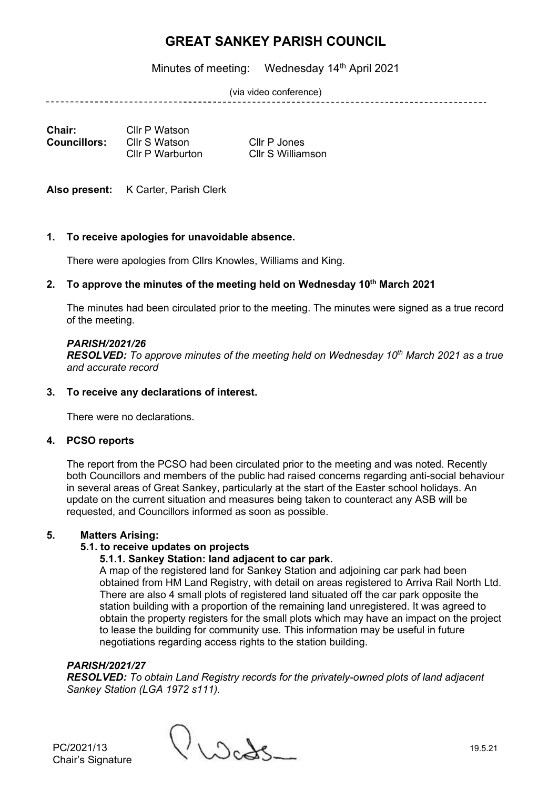Minutes of meeting: Wednesday 14<sup>th</sup> April 2021

(via video conference)

--------------------------

| <b>Chair:</b>       | Cllr P Watson    |
|---------------------|------------------|
| <b>Councillors:</b> | Cllr S Watson    |
|                     | Cllr P Warburton |

**Cllr P** Jones Cllr S Williamson

Also present: K Carter, Parish Clerk

## **1. To receive apologies for unavoidable absence.**

There were apologies from Cllrs Knowles, Williams and King.

## **2. To approve the minutes of the meeting held on Wednesday 10 th March 2021**

The minutes had been circulated prior to the meeting. The minutes were signed as a true record of the meeting.

## *PARISH/2021/26*

*RESOLVED: To approve minutes of the meeting held on Wednesday 10th March 2021 as a true and accurate record*

## **3. To receive any declarations of interest.**

There were no declarations.

## **4. PCSO reports**

The report from the PCSO had been circulated prior to the meeting and was noted. Recently both Councillors and members of the public had raised concerns regarding anti-social behaviour in several areas of Great Sankey, particularly at the start of the Easter school holidays. An update on the current situation and measures being taken to counteract any ASB will be requested, and Councillors informed as soon as possible.

## **5. Matters Arising:**

## **5.1. to receive updates on projects**

## **5.1.1. Sankey Station: land adjacent to car park.**

A map of the registered land for Sankey Station and adjoining car park had been obtained from HM Land Registry, with detail on areas registered to Arriva Rail North Ltd. There are also 4 small plots of registered land situated off the car park opposite the station building with a proportion of the remaining land unregistered. It was agreed to obtain the property registers for the small plots which may have an impact on the project to lease the building for community use. This information may be useful in future negotiations regarding access rights to the station building.

## *PARISH/2021/27*

*RESOLVED: To obtain Land Registry records for the privately-owned plots of land adjacent Sankey Station (LGA 1972 s111).*

PC/2021/13  $\bigcup_{\lambda} \bigcup_{\alpha} \bigcup_{\alpha} \bigcup_{\beta}$  19.5.21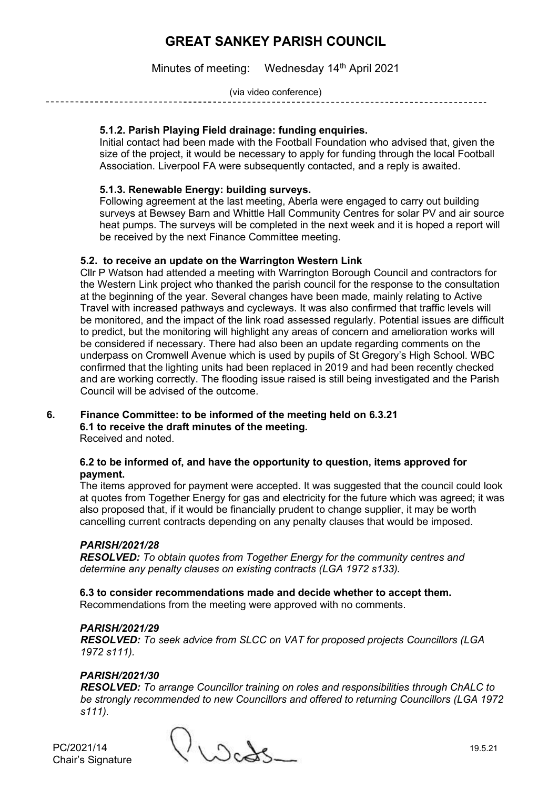Minutes of meeting: Wednesday 14<sup>th</sup> April 2021

(via video conference)

## **5.1.2. Parish Playing Field drainage: funding enquiries.**

Initial contact had been made with the Football Foundation who advised that, given the size of the project, it would be necessary to apply for funding through the local Football Association. Liverpool FA were subsequently contacted, and a reply is awaited.

## **5.1.3. Renewable Energy: building surveys.**

Following agreement at the last meeting, Aberla were engaged to carry out building surveys at Bewsey Barn and Whittle Hall Community Centres for solar PV and air source heat pumps. The surveys will be completed in the next week and it is hoped a report will be received by the next Finance Committee meeting.

## **5.2. to receive an update on the Warrington Western Link**

Cllr P Watson had attended a meeting with Warrington Borough Council and contractors for the Western Link project who thanked the parish council for the response to the consultation at the beginning of the year. Several changes have been made, mainly relating to Active Travel with increased pathways and cycleways. It was also confirmed that traffic levels will be monitored, and the impact of the link road assessed regularly. Potential issues are difficult to predict, but the monitoring will highlight any areas of concern and amelioration works will be considered if necessary. There had also been an update regarding comments on the underpass on Cromwell Avenue which is used by pupils of St Gregory's High School. WBC confirmed that the lighting units had been replaced in 2019 and had been recently checked and are working correctly. The flooding issue raised is still being investigated and the Parish Council will be advised of the outcome.

#### **6. Finance Committee: to be informed of the meeting held on 6.3.21 6.1 to receive the draft minutes of the meeting.** Received and noted.

## **6.2 to be informed of, and have the opportunity to question, items approved for payment.**

The items approved for payment were accepted. It was suggested that the council could look at quotes from Together Energy for gas and electricity for the future which was agreed; it was also proposed that, if it would be financially prudent to change supplier, it may be worth cancelling current contracts depending on any penalty clauses that would be imposed.

## *PARISH/2021/28*

*RESOLVED: To obtain quotes from Together Energy for the community centres and determine any penalty clauses on existing contracts (LGA 1972 s133).*

**6.3 to consider recommendations made and decide whether to accept them.** Recommendations from the meeting were approved with no comments.

## *PARISH/2021/29*

*RESOLVED: To seek advice from SLCC on VAT for proposed projects Councillors (LGA 1972 s111).*

## *PARISH/2021/30*

*RESOLVED: To arrange Councillor training on roles and responsibilities through ChALC to be strongly recommended to new Councillors and offered to returning Councillors (LGA 1972 s111).*

Chair's Signature

 $PC/2021/14$  19.5.21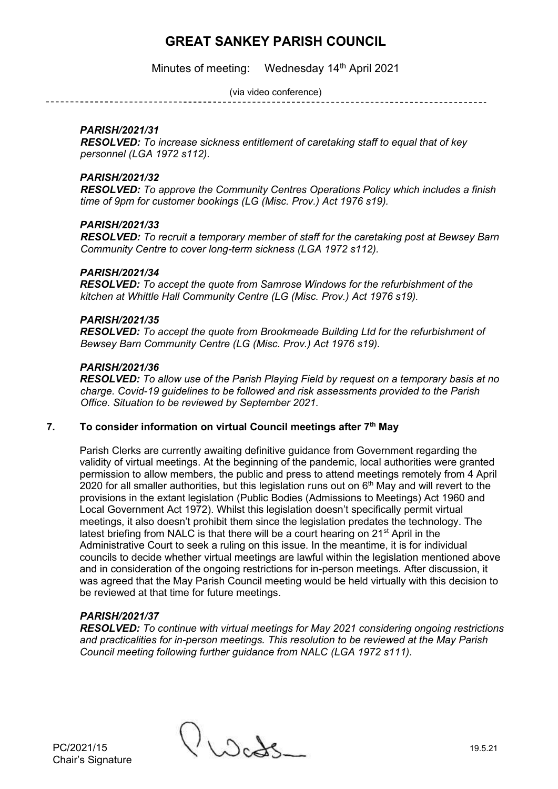Minutes of meeting: Wednesday 14<sup>th</sup> April 2021

(via video conference)

\_\_\_\_\_\_\_\_\_\_\_\_\_\_\_\_\_\_\_\_\_\_\_\_\_\_\_\_\_

## *PARISH/2021/31*

*RESOLVED: To increase sickness entitlement of caretaking staff to equal that of key personnel (LGA 1972 s112).*

## *PARISH/2021/32*

*RESOLVED: To approve the Community Centres Operations Policy which includes a finish time of 9pm for customer bookings (LG (Misc. Prov.) Act 1976 s19).*

## *PARISH/2021/33*

*RESOLVED: To recruit a temporary member of staff for the caretaking post at Bewsey Barn Community Centre to cover long-term sickness (LGA 1972 s112).*

## *PARISH/2021/34*

*RESOLVED: To accept the quote from Samrose Windows for the refurbishment of the kitchen at Whittle Hall Community Centre (LG (Misc. Prov.) Act 1976 s19).*

## *PARISH/2021/35*

*RESOLVED: To accept the quote from Brookmeade Building Ltd for the refurbishment of Bewsey Barn Community Centre (LG (Misc. Prov.) Act 1976 s19).*

## *PARISH/2021/36*

*RESOLVED: To allow use of the Parish Playing Field by request on a temporary basis at no charge. Covid-19 guidelines to be followed and risk assessments provided to the Parish Office. Situation to be reviewed by September 2021.*

## **7. To consider information on virtual Council meetings after 7th May**

Parish Clerks are currently awaiting definitive guidance from Government regarding the validity of virtual meetings. At the beginning of the pandemic, local authorities were granted permission to allow members, the public and press to attend meetings remotely from 4 April 2020 for all smaller authorities, but this legislation runs out on  $6<sup>th</sup>$  May and will revert to the provisions in the extant legislation (Public Bodies (Admissions to Meetings) Act 1960 and Local Government Act 1972). Whilst this legislation doesn't specifically permit virtual meetings, it also doesn't prohibit them since the legislation predates the technology. The latest briefing from NALC is that there will be a court hearing on 21<sup>st</sup> April in the Administrative Court to seek a ruling on this issue. In the meantime, it is for individual councils to decide whether virtual meetings are lawful within the legislation mentioned above and in consideration of the ongoing restrictions for in-person meetings. After discussion, it was agreed that the May Parish Council meeting would be held virtually with this decision to be reviewed at that time for future meetings.

## *PARISH/2021/37*

*RESOLVED: To continue with virtual meetings for May 2021 considering ongoing restrictions and practicalities for in-person meetings. This resolution to be reviewed at the May Parish Council meeting following further guidance from NALC (LGA 1972 s111).*

PC/2021/15  $\bigcup_{\lambda \in \Lambda} C_{\lambda}$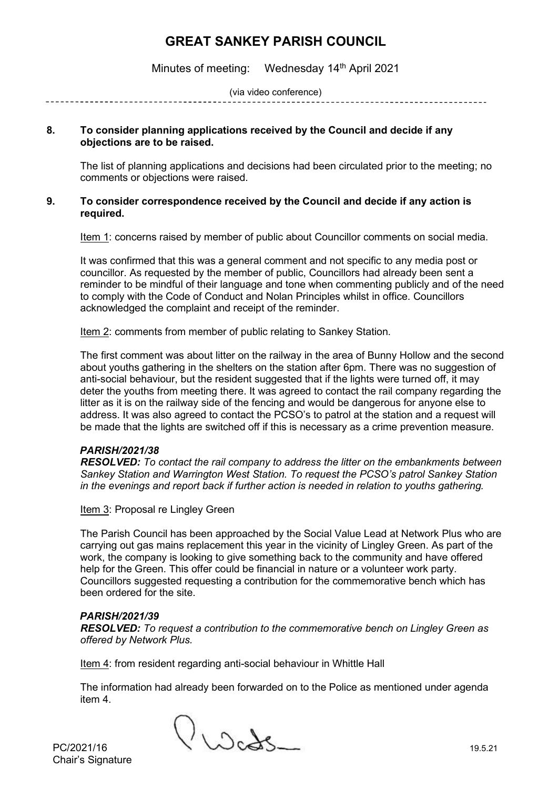Minutes of meeting: Wednesday 14<sup>th</sup> April 2021

(via video conference)

## **8. To consider planning applications received by the Council and decide if any objections are to be raised.**

The list of planning applications and decisions had been circulated prior to the meeting; no comments or objections were raised.

## **9. To consider correspondence received by the Council and decide if any action is required.**

Item 1: concerns raised by member of public about Councillor comments on social media.

It was confirmed that this was a general comment and not specific to any media post or councillor. As requested by the member of public, Councillors had already been sent a reminder to be mindful of their language and tone when commenting publicly and of the need to comply with the Code of Conduct and Nolan Principles whilst in office. Councillors acknowledged the complaint and receipt of the reminder.

Item 2: comments from member of public relating to Sankey Station.

The first comment was about litter on the railway in the area of Bunny Hollow and the second about youths gathering in the shelters on the station after 6pm. There was no suggestion of anti-social behaviour, but the resident suggested that if the lights were turned off, it may deter the youths from meeting there. It was agreed to contact the rail company regarding the litter as it is on the railway side of the fencing and would be dangerous for anyone else to address. It was also agreed to contact the PCSO's to patrol at the station and a request will be made that the lights are switched off if this is necessary as a crime prevention measure.

## *PARISH/2021/38*

*RESOLVED: To contact the rail company to address the litter on the embankments between Sankey Station and Warrington West Station. To request the PCSO's patrol Sankey Station in the evenings and report back if further action is needed in relation to youths gathering.* 

Item 3: Proposal re Lingley Green

The Parish Council has been approached by the Social Value Lead at Network Plus who are carrying out gas mains replacement this year in the vicinity of Lingley Green. As part of the work, the company is looking to give something back to the community and have offered help for the Green. This offer could be financial in nature or a volunteer work party. Councillors suggested requesting a contribution for the commemorative bench which has been ordered for the site.

## *PARISH/2021/39*

*RESOLVED: To request a contribution to the commemorative bench on Lingley Green as offered by Network Plus.*

Item 4: from resident regarding anti-social behaviour in Whittle Hall

The information had already been forwarded on to the Police as mentioned under agenda item 4.

PC/2021/16  $\bigvee$  West 5

Chair's Signature